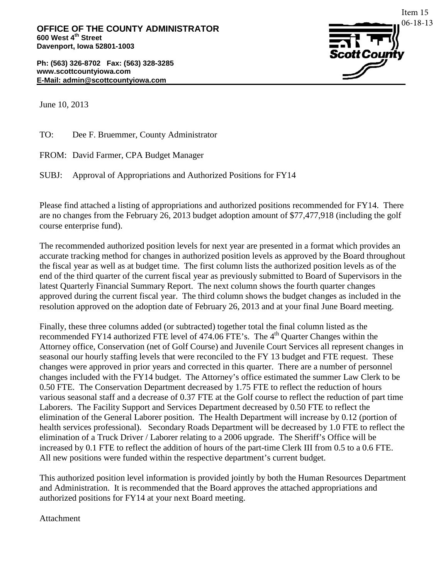**Ph: (563) 326-8702 Fax: (563) 328-3285 www.scottcountyiowa.com E-Mail: admin@scottcountyiowa.com**



June 10, 2013

TO: Dee F. Bruemmer, County Administrator

FROM: David Farmer, CPA Budget Manager

SUBJ: Approval of Appropriations and Authorized Positions for FY14

Please find attached a listing of appropriations and authorized positions recommended for FY14. There are no changes from the February 26, 2013 budget adoption amount of \$77,477,918 (including the golf course enterprise fund).

The recommended authorized position levels for next year are presented in a format which provides an accurate tracking method for changes in authorized position levels as approved by the Board throughout the fiscal year as well as at budget time. The first column lists the authorized position levels as of the end of the third quarter of the current fiscal year as previously submitted to Board of Supervisors in the latest Quarterly Financial Summary Report. The next column shows the fourth quarter changes approved during the current fiscal year. The third column shows the budget changes as included in the resolution approved on the adoption date of February 26, 2013 and at your final June Board meeting.

Finally, these three columns added (or subtracted) together total the final column listed as the recommended FY14 authorized FTE level of 474.06 FTE's. The 4<sup>th</sup> Quarter Changes within the Attorney office, Conservation (net of Golf Course) and Juvenile Court Services all represent changes in seasonal our hourly staffing levels that were reconciled to the FY 13 budget and FTE request. These changes were approved in prior years and corrected in this quarter. There are a number of personnel changes included with the FY14 budget. The Attorney's office estimated the summer Law Clerk to be 0.50 FTE. The Conservation Department decreased by 1.75 FTE to reflect the reduction of hours various seasonal staff and a decrease of 0.37 FTE at the Golf course to reflect the reduction of part time Laborers. The Facility Support and Services Department decreased by 0.50 FTE to reflect the elimination of the General Laborer position. The Health Department will increase by 0.12 (portion of health services professional). Secondary Roads Department will be decreased by 1.0 FTE to reflect the elimination of a Truck Driver / Laborer relating to a 2006 upgrade. The Sheriff's Office will be increased by 0.1 FTE to reflect the addition of hours of the part-time Clerk III from 0.5 to a 0.6 FTE. All new positions were funded within the respective department's current budget.

This authorized position level information is provided jointly by both the Human Resources Department and Administration. It is recommended that the Board approves the attached appropriations and authorized positions for FY14 at your next Board meeting.

Attachment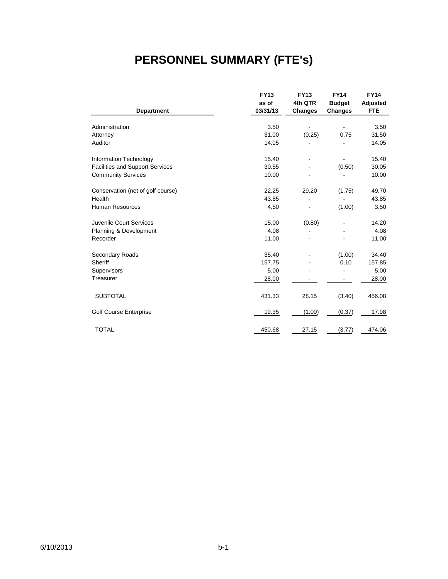#### **PERSONNEL SUMMARY (FTE's)**

|                                        | <b>FY13</b> | <b>FY13</b> | <b>FY14</b>    | <b>FY14</b> |
|----------------------------------------|-------------|-------------|----------------|-------------|
|                                        | as of       | 4th QTR     | <b>Budget</b>  | Adjusted    |
| <b>Department</b>                      | 03/31/13    | Changes     | <b>Changes</b> | <b>FTE</b>  |
|                                        |             |             |                |             |
| Administration                         | 3.50        |             |                | 3.50        |
| Attorney                               | 31.00       | (0.25)      | 0.75           | 31.50       |
| Auditor                                | 14.05       |             |                | 14.05       |
| Information Technology                 | 15.40       |             |                | 15.40       |
| <b>Facilities and Support Services</b> | 30.55       |             | (0.50)         | 30.05       |
| <b>Community Services</b>              | 10.00       |             |                | 10.00       |
| Conservation (net of golf course)      | 22.25       | 29.20       | (1.75)         | 49.70       |
| Health                                 | 43.85       |             |                | 43.85       |
| <b>Human Resources</b>                 | 4.50        |             | (1.00)         | 3.50        |
| Juvenile Court Services                | 15.00       | (0.80)      |                | 14.20       |
| Planning & Development                 | 4.08        |             |                | 4.08        |
| Recorder                               | 11.00       |             |                | 11.00       |
| Secondary Roads                        | 35.40       |             | (1.00)         | 34.40       |
| Sheriff                                | 157.75      |             | 0.10           | 157.85      |
| Supervisors                            | 5.00        |             |                | 5.00        |
| Treasurer                              | 28.00       |             |                | 28.00       |
| <b>SUBTOTAL</b>                        | 431.33      | 28.15       | (3.40)         | 456.08      |
|                                        |             |             |                |             |
| <b>Golf Course Enterprise</b>          | 19.35       | (1.00)      | (0.37)         | 17.98       |
| <b>TOTAL</b>                           | 450.68      | 27.15       | (3.77)         | 474.06      |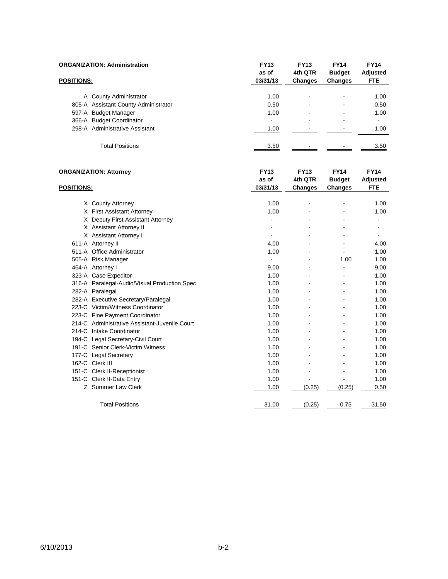|                   | <b>ORGANIZATION: Administration</b>                                                                                                                                                                                                                                                                                                                                                                                                                                                                                                                                                                                                                                                                                                                                                                                 | <b>FY13</b><br>as of             | <b>FY13</b><br>4th QTR | <b>FY14</b><br><b>Budget</b> | <b>FY14</b><br>Adjusted               |
|-------------------|---------------------------------------------------------------------------------------------------------------------------------------------------------------------------------------------------------------------------------------------------------------------------------------------------------------------------------------------------------------------------------------------------------------------------------------------------------------------------------------------------------------------------------------------------------------------------------------------------------------------------------------------------------------------------------------------------------------------------------------------------------------------------------------------------------------------|----------------------------------|------------------------|------------------------------|---------------------------------------|
| <u>POSITIONS:</u> |                                                                                                                                                                                                                                                                                                                                                                                                                                                                                                                                                                                                                                                                                                                                                                                                                     | 03/31/13                         | <b>Changes</b>         | <b>Changes</b>               | <b>FTE</b>                            |
|                   | A County Administrator                                                                                                                                                                                                                                                                                                                                                                                                                                                                                                                                                                                                                                                                                                                                                                                              | 1.00                             |                        |                              | 1.00                                  |
|                   | 805-A Assistant County Administrator                                                                                                                                                                                                                                                                                                                                                                                                                                                                                                                                                                                                                                                                                                                                                                                | 0.50                             |                        |                              | 0.50                                  |
|                   | 597-A Budget Manager                                                                                                                                                                                                                                                                                                                                                                                                                                                                                                                                                                                                                                                                                                                                                                                                | 1.00                             | ÷                      | $\overline{a}$               | 1.00                                  |
|                   | 366-A Budget Coordinator                                                                                                                                                                                                                                                                                                                                                                                                                                                                                                                                                                                                                                                                                                                                                                                            | ä,                               |                        |                              |                                       |
|                   | 298-A Administrative Assistant                                                                                                                                                                                                                                                                                                                                                                                                                                                                                                                                                                                                                                                                                                                                                                                      | 1.00                             |                        |                              | 1.00                                  |
|                   | <b>Total Positions</b>                                                                                                                                                                                                                                                                                                                                                                                                                                                                                                                                                                                                                                                                                                                                                                                              | 3.50                             |                        |                              | 3.50                                  |
|                   |                                                                                                                                                                                                                                                                                                                                                                                                                                                                                                                                                                                                                                                                                                                                                                                                                     | <b>FY13</b><br>as of<br>03/31/13 | <b>FY13</b><br>4th QTR | <b>FY14</b><br><b>Budget</b> | <b>FY14</b><br>Adjusted<br><b>FTE</b> |
|                   |                                                                                                                                                                                                                                                                                                                                                                                                                                                                                                                                                                                                                                                                                                                                                                                                                     |                                  | <b>Changes</b>         | <b>Changes</b>               |                                       |
|                   |                                                                                                                                                                                                                                                                                                                                                                                                                                                                                                                                                                                                                                                                                                                                                                                                                     | 1.00                             |                        |                              | 1.00                                  |
|                   |                                                                                                                                                                                                                                                                                                                                                                                                                                                                                                                                                                                                                                                                                                                                                                                                                     | 1.00                             |                        |                              | 1.00                                  |
|                   |                                                                                                                                                                                                                                                                                                                                                                                                                                                                                                                                                                                                                                                                                                                                                                                                                     | $\blacksquare$                   |                        | ÷.                           | $\blacksquare$                        |
|                   |                                                                                                                                                                                                                                                                                                                                                                                                                                                                                                                                                                                                                                                                                                                                                                                                                     |                                  |                        |                              | ä,                                    |
|                   |                                                                                                                                                                                                                                                                                                                                                                                                                                                                                                                                                                                                                                                                                                                                                                                                                     |                                  |                        |                              |                                       |
|                   |                                                                                                                                                                                                                                                                                                                                                                                                                                                                                                                                                                                                                                                                                                                                                                                                                     | 4.00                             | ÷.                     | $\sim$                       | 4.00                                  |
|                   |                                                                                                                                                                                                                                                                                                                                                                                                                                                                                                                                                                                                                                                                                                                                                                                                                     | 1.00                             | $\overline{a}$         |                              | 1.00                                  |
|                   |                                                                                                                                                                                                                                                                                                                                                                                                                                                                                                                                                                                                                                                                                                                                                                                                                     | $\blacksquare$                   |                        | 1.00                         | 1.00                                  |
|                   |                                                                                                                                                                                                                                                                                                                                                                                                                                                                                                                                                                                                                                                                                                                                                                                                                     | 9.00                             |                        | ä,                           | 9.00                                  |
|                   |                                                                                                                                                                                                                                                                                                                                                                                                                                                                                                                                                                                                                                                                                                                                                                                                                     | 1.00                             |                        |                              | 1.00                                  |
|                   |                                                                                                                                                                                                                                                                                                                                                                                                                                                                                                                                                                                                                                                                                                                                                                                                                     | 1.00                             |                        |                              | 1.00                                  |
|                   |                                                                                                                                                                                                                                                                                                                                                                                                                                                                                                                                                                                                                                                                                                                                                                                                                     | 1.00                             |                        |                              | 1.00                                  |
|                   |                                                                                                                                                                                                                                                                                                                                                                                                                                                                                                                                                                                                                                                                                                                                                                                                                     | 1.00                             | ÷.                     | $\overline{a}$               | 1.00                                  |
|                   |                                                                                                                                                                                                                                                                                                                                                                                                                                                                                                                                                                                                                                                                                                                                                                                                                     | 1.00                             | $\overline{a}$         | ÷.                           | 1.00                                  |
|                   |                                                                                                                                                                                                                                                                                                                                                                                                                                                                                                                                                                                                                                                                                                                                                                                                                     | 1.00                             |                        |                              | 1.00                                  |
|                   |                                                                                                                                                                                                                                                                                                                                                                                                                                                                                                                                                                                                                                                                                                                                                                                                                     | 1.00                             |                        |                              | 1.00                                  |
|                   |                                                                                                                                                                                                                                                                                                                                                                                                                                                                                                                                                                                                                                                                                                                                                                                                                     | 1.00                             |                        |                              | 1.00                                  |
|                   | <b>ORGANIZATION: Attorney</b><br><b>POSITIONS:</b><br>X County Attorney<br>X First Assistant Attorney<br>X Deputy First Assistant Attorney<br>X Assistant Attorney II<br>X Assistant Attorney I<br>611-A Attorney II<br>511-A Office Administrator<br>505-A Risk Manager<br>464-A Attorney I<br>323-A Case Expeditor<br>316-A Paralegal-Audio/Visual Production Spec<br>282-A Paralegal<br>282-A Executive Secretary/Paralegal<br>223-C Victim/Witness Coordinator<br>223-C Fine Payment Coordinator<br>214-C Administrative Assistant-Juvenile Court<br>214-C Intake Coordinator<br>194-C Legal Secretary-Civil Court<br>191-C Senior Clerk-Victim Witness<br>177-C Legal Secretary<br>162-C Clerk III<br>151-C Clerk II-Receptionist<br>151-C Clerk II-Data Entry<br>Z Summer Law Clerk<br><b>Total Positions</b> | 1.00                             |                        | L,                           | 1.00                                  |
|                   |                                                                                                                                                                                                                                                                                                                                                                                                                                                                                                                                                                                                                                                                                                                                                                                                                     | 1.00                             |                        |                              | 1.00                                  |
|                   |                                                                                                                                                                                                                                                                                                                                                                                                                                                                                                                                                                                                                                                                                                                                                                                                                     | 1.00                             | ÷.                     | $\overline{a}$               | 1.00                                  |
|                   |                                                                                                                                                                                                                                                                                                                                                                                                                                                                                                                                                                                                                                                                                                                                                                                                                     | 1.00                             | $\overline{a}$         | $\overline{a}$               | 1.00                                  |
|                   |                                                                                                                                                                                                                                                                                                                                                                                                                                                                                                                                                                                                                                                                                                                                                                                                                     | 1.00                             |                        | $\blacksquare$               | 1.00                                  |
|                   |                                                                                                                                                                                                                                                                                                                                                                                                                                                                                                                                                                                                                                                                                                                                                                                                                     | 1.00                             |                        | ä,                           | 1.00                                  |
|                   |                                                                                                                                                                                                                                                                                                                                                                                                                                                                                                                                                                                                                                                                                                                                                                                                                     | 1.00                             | (0.25)                 | (0.25)                       | 0.50                                  |
|                   |                                                                                                                                                                                                                                                                                                                                                                                                                                                                                                                                                                                                                                                                                                                                                                                                                     | 31.00                            | (0.25)                 | 0.75                         | 31.50                                 |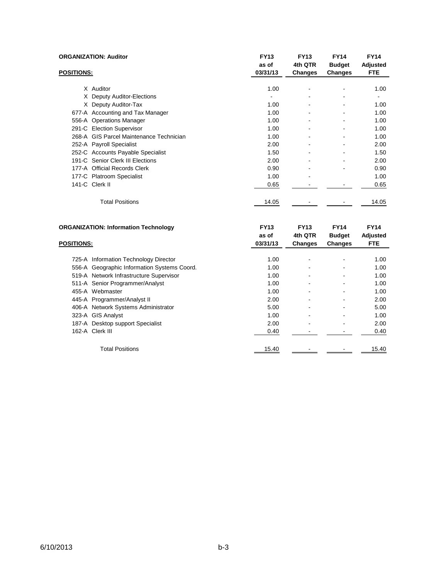|                   | <b>ORGANIZATION: Auditor</b>            | <b>FY13</b><br>as of | <b>FY13</b><br>4th QTR | <b>FY14</b><br><b>Budget</b> | <b>FY14</b><br>Adjusted |
|-------------------|-----------------------------------------|----------------------|------------------------|------------------------------|-------------------------|
| <b>POSITIONS:</b> |                                         | 03/31/13             | Changes                | Changes                      | <b>FTE</b>              |
|                   | X Auditor                               | 1.00                 | $\blacksquare$         | ۰                            | 1.00                    |
|                   | X Deputy Auditor-Elections              |                      |                        |                              |                         |
|                   | X Deputy Auditor-Tax                    | 1.00                 | ۰                      |                              | 1.00                    |
|                   | 677-A Accounting and Tax Manager        | 1.00                 | ٠                      |                              | 1.00                    |
|                   | 556-A Operations Manager                | 1.00                 | ۰                      |                              | 1.00                    |
|                   | 291-C Election Supervisor               | 1.00                 | ۰                      | ۰                            | 1.00                    |
|                   | 268-A GIS Parcel Maintenance Technician | 1.00                 | ۰                      |                              | 1.00                    |
|                   | 252-A Payroll Specialist                | 2.00                 | ۰                      |                              | 2.00                    |
|                   | 252-C Accounts Payable Specialist       | 1.50                 |                        |                              | 1.50                    |
|                   | 191-C Senior Clerk III Elections        | 2.00                 | ۰                      |                              | 2.00                    |
|                   | 177-A Official Records Clerk            | 0.90                 |                        |                              | 0.90                    |
|                   | 177-C Platroom Specialist               | 1.00                 | ۰                      |                              | 1.00                    |
|                   | 141-C Clerk II                          | 0.65                 |                        |                              | 0.65                    |
|                   | <b>Total Positions</b>                  | 14.05                |                        |                              | 14.05                   |

| <b>ORGANIZATION: Information Technology</b> |                                             | <b>FY13</b><br>as of | <b>FY13</b><br>4th QTR | <b>FY14</b><br><b>Budget</b> | <b>FY14</b><br>Adjusted |
|---------------------------------------------|---------------------------------------------|----------------------|------------------------|------------------------------|-------------------------|
|                                             |                                             | 03/31/13             | <b>Changes</b>         | <b>Changes</b>               | <b>FTE</b>              |
|                                             |                                             |                      |                        |                              |                         |
|                                             | 725-A Information Technology Director       | 1.00                 |                        |                              | 1.00                    |
|                                             | 556-A Geographic Information Systems Coord. | 1.00                 |                        |                              | 1.00                    |
|                                             | 519-A Network Infrastructure Supervisor     | 1.00                 |                        |                              | 1.00                    |
|                                             | 511-A Senior Programmer/Analyst             | 1.00                 |                        |                              | 1.00                    |
|                                             | 455-A Webmaster                             | 1.00                 |                        |                              | 1.00                    |
| <b>POSITIONS:</b><br>162-A Clerk III        | 445-A Programmer/Analyst II                 | 2.00                 |                        |                              | 2.00                    |
|                                             | 406-A Network Systems Administrator         | 5.00                 |                        |                              | 5.00                    |
|                                             | 323-A GIS Analyst                           | 1.00                 |                        |                              | 1.00                    |
|                                             | 187-A Desktop support Specialist            | 2.00                 |                        |                              | 2.00                    |
|                                             |                                             | 0.40                 |                        |                              | 0.40                    |
|                                             | <b>Total Positions</b>                      | 15.40                |                        |                              | 15.40                   |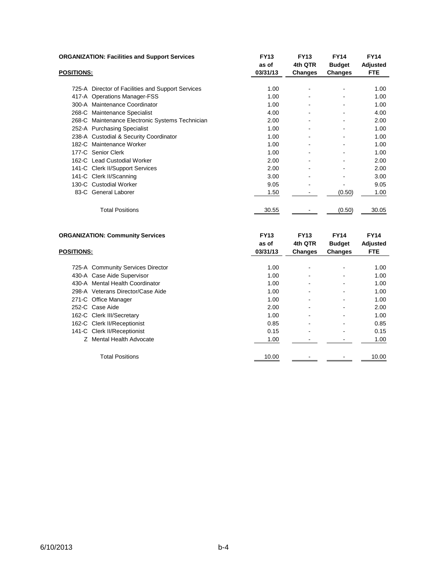| <b>ORGANIZATION: Facilities and Support Services</b> |                                                   | <b>FY13</b><br>as of | <b>FY13</b><br>4th QTR         | <b>FY14</b>                         | <b>FY14</b>      |
|------------------------------------------------------|---------------------------------------------------|----------------------|--------------------------------|-------------------------------------|------------------|
| <b>POSITIONS:</b>                                    |                                                   | 03/31/13             | Changes                        | <b>Budget</b><br>Changes            | Adjusted<br>FTE. |
|                                                      |                                                   |                      |                                |                                     |                  |
|                                                      | 725-A Director of Facilities and Support Services | 1.00                 | $\qquad \qquad \blacksquare$   |                                     | 1.00             |
|                                                      | 417-A Operations Manager-FSS                      | 1.00                 | ۰                              | ۰                                   | 1.00             |
|                                                      | 300-A Maintenance Coordinator                     | 1.00                 | ۰                              |                                     | 1.00             |
|                                                      | 268-C Maintenance Specialist                      | 4.00                 |                                |                                     | 4.00             |
|                                                      | 268-C Maintenance Electronic Systems Technician   | 2.00                 |                                |                                     | 2.00             |
|                                                      | 252-A Purchasing Specialist                       | 1.00                 |                                |                                     | 1.00             |
|                                                      | 238-A Custodial & Security Coordinator            | 1.00                 |                                |                                     | 1.00             |
|                                                      | 182-C Maintenance Worker                          | 1.00                 | $\overline{\phantom{a}}$       | ۰                                   | 1.00             |
|                                                      | 177-C Senior Clerk                                | 1.00                 |                                |                                     | 1.00             |
|                                                      | 162-C Lead Custodial Worker                       | 2.00                 |                                |                                     | 2.00             |
|                                                      | 141-C Clerk II/Support Services                   | 2.00                 |                                |                                     | 2.00             |
|                                                      | 141-C Clerk II/Scanning                           | 3.00                 |                                |                                     | 3.00             |
|                                                      | 130-C Custodial Worker                            | 9.05                 |                                |                                     | 9.05             |
|                                                      | 83-C General Laborer                              | 1.50                 |                                | (0.50)                              | 1.00             |
|                                                      | <b>Total Positions</b>                            | 30.55                |                                | (0.50)                              | 30.05            |
|                                                      | <b>ORGANIZATION: Community Services</b>           | <b>FY13</b>          | <b>FY13</b><br>$\cdots$ $\sim$ | <b>FY14</b><br><b>December 2014</b> | <b>FY14</b>      |

| <b>POSITIONS:</b> |                                   | as of<br>03/31/13 | 4th QTR<br>Changes | <b>Budget</b><br>Changes | <b>Adjusted</b><br><b>FTE</b> |
|-------------------|-----------------------------------|-------------------|--------------------|--------------------------|-------------------------------|
|                   | 725-A Community Services Director | 1.00              | $\blacksquare$     | $\overline{\phantom{a}}$ | 1.00                          |
|                   | 430-A Case Aide Supervisor        | 1.00              | $\blacksquare$     | ۰                        | 1.00                          |
| 430-A             | Mental Health Coordinator         | 1.00              | $\blacksquare$     | ٠                        | 1.00                          |
|                   | 298-A Veterans Director/Case Aide | 1.00              | $\blacksquare$     |                          | 1.00                          |
|                   | 271-C Office Manager              | 1.00              | $\blacksquare$     | ۰                        | 1.00                          |
|                   | 252-C Case Aide                   | 2.00              | $\blacksquare$     | ٠                        | 2.00                          |
|                   | 162-C Clerk III/Secretary         | 1.00              | $\blacksquare$     | ٠                        | 1.00                          |
|                   | 162-C Clerk II/Receptionist       | 0.85              | $\blacksquare$     | ٠                        | 0.85                          |
|                   | 141-C Clerk II/Receptionist       | 0.15              | $\blacksquare$     | ٠                        | 0.15                          |
|                   | Z Mental Health Advocate          | 1.00              |                    |                          | 1.00                          |
|                   | <b>Total Positions</b>            | 10.00             |                    |                          | 10.00                         |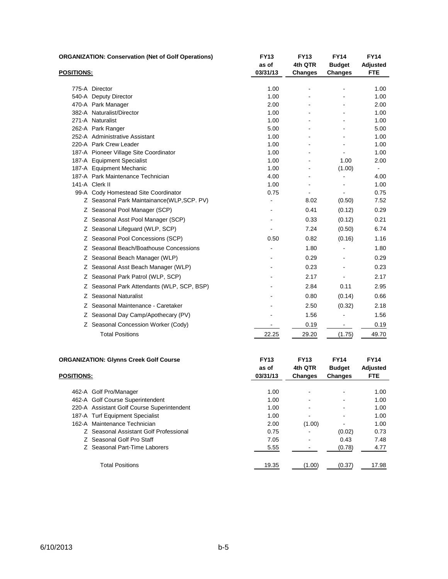|                   | <b>ORGANIZATION: Conservation (Net of Golf Operations)</b> | <b>FY13</b><br>as of | <b>FY13</b><br>4th QTR | <b>FY14</b><br><b>Budget</b> | <b>FY14</b><br><b>Adjusted</b> |
|-------------------|------------------------------------------------------------|----------------------|------------------------|------------------------------|--------------------------------|
| <b>POSITIONS:</b> |                                                            | 03/31/13             | <b>Changes</b>         | <b>Changes</b>               | <b>FTE</b>                     |
|                   |                                                            |                      |                        |                              |                                |
|                   | 775-A Director                                             | 1.00                 |                        |                              | 1.00                           |
|                   | 540-A Deputy Director                                      | 1.00                 |                        |                              | 1.00                           |
|                   | 470-A Park Manager<br>382-A Naturalist/Director            | 2.00<br>1.00         |                        |                              | 2.00<br>1.00                   |
|                   | 271-A Naturalist                                           | 1.00                 |                        |                              | 1.00                           |
|                   | 262-A Park Ranger                                          | 5.00                 |                        |                              | 5.00                           |
|                   | 252-A Administrative Assistant                             | 1.00                 |                        |                              | 1.00                           |
|                   | 220-A Park Crew Leader                                     | 1.00                 |                        |                              | 1.00                           |
|                   | 187-A Pioneer Village Site Coordinator                     | 1.00                 |                        |                              | 1.00                           |
|                   | 187-A Equipment Specialist                                 | 1.00                 |                        | 1.00                         | 2.00                           |
|                   | 187-A Equipment Mechanic                                   | 1.00                 |                        | (1.00)                       |                                |
|                   | 187-A Park Maintenance Technician                          | 4.00                 |                        |                              | 4.00                           |
|                   | 141-A Clerk II                                             | 1.00                 |                        |                              | 1.00                           |
|                   | 99-A Cody Homestead Site Coordinator                       | 0.75                 |                        |                              | 0.75                           |
|                   | Z Seasonal Park Maintainance(WLP,SCP. PV)                  |                      | 8.02                   | (0.50)                       | 7.52                           |
|                   | Z Seasonal Pool Manager (SCP)                              |                      | 0.41                   | (0.12)                       | 0.29                           |
|                   | Z Seasonal Asst Pool Manager (SCP)                         |                      | 0.33                   | (0.12)                       | 0.21                           |
|                   | Z Seasonal Lifeguard (WLP, SCP)                            |                      | 7.24                   | (0.50)                       | 6.74                           |
|                   | Z Seasonal Pool Concessions (SCP)                          | 0.50                 | 0.82                   | (0.16)                       | 1.16                           |
|                   | Z Seasonal Beach/Boathouse Concessions                     |                      | 1.80                   |                              | 1.80                           |
|                   | Z Seasonal Beach Manager (WLP)                             |                      | 0.29                   |                              | 0.29                           |
|                   | Z Seasonal Asst Beach Manager (WLP)                        |                      | 0.23                   |                              | 0.23                           |
|                   | Z Seasonal Park Patrol (WLP, SCP)                          |                      | 2.17                   |                              | 2.17                           |
|                   | Z Seasonal Park Attendants (WLP, SCP, BSP)                 |                      | 2.84                   | 0.11                         | 2.95                           |
|                   | Z Seasonal Naturalist                                      |                      | 0.80                   | (0.14)                       | 0.66                           |
|                   | Z Seasonal Maintenance - Caretaker                         |                      | 2.50                   | (0.32)                       | 2.18                           |
|                   | Z Seasonal Day Camp/Apothecary (PV)                        |                      | 1.56                   |                              | 1.56                           |
|                   | Z Seasonal Concession Worker (Cody)                        | $\blacksquare$       | 0.19                   | $\blacksquare$               | 0.19                           |
|                   | <b>Total Positions</b>                                     | 22.25                | 29.20                  | (1.75)                       | 49.70                          |
|                   |                                                            |                      |                        |                              |                                |

| <b>ORGANIZATION: Glynns Creek Golf Course</b> |                                            | <b>FY13</b><br>as of | <b>FY13</b><br>4th QTR | <b>FY14</b><br><b>Budget</b> | <b>FY14</b><br>Adjusted |
|-----------------------------------------------|--------------------------------------------|----------------------|------------------------|------------------------------|-------------------------|
| <b>POSITIONS:</b>                             |                                            | 03/31/13             | Changes                | <b>Changes</b>               | <b>FTE</b>              |
|                                               | 462-A Golf Pro/Manager                     | 1.00                 |                        |                              | 1.00                    |
|                                               | 462-A Golf Course Superintendent           | 1.00                 | -                      |                              | 1.00                    |
|                                               | 220-A Assistant Golf Course Superintendent | 1.00                 |                        |                              | 1.00                    |
|                                               | 187-A Turf Equipment Specialist            | 1.00                 | -                      |                              | 1.00                    |
|                                               | 162-A Maintenance Technician               | 2.00                 | (1.00)                 |                              | 1.00                    |
|                                               | Z Seasonal Assistant Golf Professional     | 0.75                 |                        | (0.02)                       | 0.73                    |
|                                               | Z Seasonal Golf Pro Staff                  | 7.05                 | ۰                      | 0.43                         | 7.48                    |
|                                               | Z Seasonal Part-Time Laborers              | 5.55                 |                        | (0.78)                       | 4.77                    |
|                                               | <b>Total Positions</b>                     | 19.35                | (1.00)                 | (0.37)                       | 17.98                   |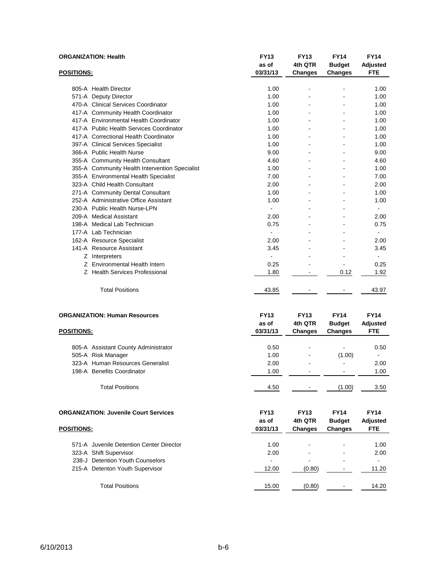| <b>FTE</b><br>03/31/13<br><b>POSITIONS:</b><br><b>Changes</b><br><b>Changes</b><br>805-A Health Director<br>1.00<br>1.00<br>÷,<br>$\blacksquare$<br>1.00<br>571-A Deputy Director<br>1.00<br>470-A Clinical Services Coordinator<br>1.00<br>1.00<br>1.00<br>417-A Community Health Coordinator<br>1.00<br>417-A Environmental Health Coordinator<br>1.00<br>1.00<br>417-A Public Health Services Coordinator<br>1.00<br>1.00<br>417-A Correctional Health Coordinator<br>1.00<br>1.00<br>397-A Clinical Services Specialist<br>1.00<br>1.00<br>366-A Public Health Nurse<br>9.00<br>9.00<br>355-A Community Health Consultant<br>4.60<br>4.60<br>355-A Community Health Intervention Specialist<br>1.00<br>1.00<br>355-A Environmental Health Specialist<br>7.00<br>7.00<br>323-A Child Health Consultant<br>2.00<br>2.00<br>۰<br>۰<br>271-A Community Dental Consultant<br>1.00<br>1.00<br>$\overline{a}$<br>252-A Administrative Office Assistant<br>1.00<br>1.00<br>230-A Public Health Nurse-LPN<br>ä,<br>209-A Medical Assistant<br>2.00<br>2.00<br>198-A Medical Lab Technician<br>0.75<br>0.75<br>$\overline{a}$<br>177-A Lab Technician<br>2.00<br>2.00<br>162-A Resource Specialist<br>141-A Resource Assistant<br>3.45<br>3.45<br>Z Interpreters<br>$\overline{a}$<br>Z Environmental Health Intern<br>0.25<br>0.25<br>Z Health Services Professional<br>1.80<br>0.12<br>1.92<br>$\blacksquare$<br><b>Total Positions</b><br>43.85<br>43.97<br><b>ORGANIZATION: Human Resources</b><br><b>FY14</b><br><b>FY13</b><br><b>FY13</b><br><b>FY14</b><br>4th QTR<br>as of<br><b>Budget</b><br><b>Adjusted</b><br><b>FTE</b><br>03/31/13<br><b>POSITIONS:</b><br><b>Changes</b><br><b>Changes</b><br>0.50<br>0.50<br>805-A Assistant County Administrator<br>$\overline{a}$<br>505-A Risk Manager<br>1.00<br>(1.00)<br>$\blacksquare$<br>323-A Human Resources Generalist<br>2.00<br>2.00<br>198-A Benefits Coordinator<br>1.00<br>1.00<br>$\overline{a}$<br>$\blacksquare$<br><b>Total Positions</b><br>(1.00)<br>4.50<br>3.50<br><b>FY14</b><br><b>FY14</b><br><b>ORGANIZATION: Juvenile Court Services</b><br><b>FY13</b><br><b>FY13</b><br>4th QTR<br>as of<br><b>Budget</b><br><b>Adjusted</b><br>03/31/13<br>FTE<br><b>POSITIONS:</b><br><b>Changes</b><br><b>Changes</b><br>571-A Juvenile Detention Center Director<br>1.00<br>1.00<br>323-A Shift Supervisor<br>2.00<br>2.00<br>238-J Detention Youth Counselors<br>215-A Detenton Youth Supervisor<br>12.00<br>(0.80)<br>11.20<br>$\blacksquare$<br><b>Total Positions</b><br>15.00<br>(0.80)<br>14.20<br>$\qquad \qquad \blacksquare$ | <b>ORGANIZATION: Health</b> |  | <b>FY13</b><br>as of | <b>FY13</b><br>4th QTR | <b>FY14</b><br><b>Budget</b> | <b>FY14</b><br><b>Adjusted</b> |
|-----------------------------------------------------------------------------------------------------------------------------------------------------------------------------------------------------------------------------------------------------------------------------------------------------------------------------------------------------------------------------------------------------------------------------------------------------------------------------------------------------------------------------------------------------------------------------------------------------------------------------------------------------------------------------------------------------------------------------------------------------------------------------------------------------------------------------------------------------------------------------------------------------------------------------------------------------------------------------------------------------------------------------------------------------------------------------------------------------------------------------------------------------------------------------------------------------------------------------------------------------------------------------------------------------------------------------------------------------------------------------------------------------------------------------------------------------------------------------------------------------------------------------------------------------------------------------------------------------------------------------------------------------------------------------------------------------------------------------------------------------------------------------------------------------------------------------------------------------------------------------------------------------------------------------------------------------------------------------------------------------------------------------------------------------------------------------------------------------------------------------------------------------------------------------------------------------------------------------------------------------------------------------------------------------------------------------------------------------------------------------------------------------------------------------------------------------------------------------------------------------------------------------------------------------------------------------------------------------|-----------------------------|--|----------------------|------------------------|------------------------------|--------------------------------|
|                                                                                                                                                                                                                                                                                                                                                                                                                                                                                                                                                                                                                                                                                                                                                                                                                                                                                                                                                                                                                                                                                                                                                                                                                                                                                                                                                                                                                                                                                                                                                                                                                                                                                                                                                                                                                                                                                                                                                                                                                                                                                                                                                                                                                                                                                                                                                                                                                                                                                                                                                                                                     |                             |  |                      |                        |                              |                                |
|                                                                                                                                                                                                                                                                                                                                                                                                                                                                                                                                                                                                                                                                                                                                                                                                                                                                                                                                                                                                                                                                                                                                                                                                                                                                                                                                                                                                                                                                                                                                                                                                                                                                                                                                                                                                                                                                                                                                                                                                                                                                                                                                                                                                                                                                                                                                                                                                                                                                                                                                                                                                     |                             |  |                      |                        |                              |                                |
|                                                                                                                                                                                                                                                                                                                                                                                                                                                                                                                                                                                                                                                                                                                                                                                                                                                                                                                                                                                                                                                                                                                                                                                                                                                                                                                                                                                                                                                                                                                                                                                                                                                                                                                                                                                                                                                                                                                                                                                                                                                                                                                                                                                                                                                                                                                                                                                                                                                                                                                                                                                                     |                             |  |                      |                        |                              |                                |
|                                                                                                                                                                                                                                                                                                                                                                                                                                                                                                                                                                                                                                                                                                                                                                                                                                                                                                                                                                                                                                                                                                                                                                                                                                                                                                                                                                                                                                                                                                                                                                                                                                                                                                                                                                                                                                                                                                                                                                                                                                                                                                                                                                                                                                                                                                                                                                                                                                                                                                                                                                                                     |                             |  |                      |                        |                              |                                |
|                                                                                                                                                                                                                                                                                                                                                                                                                                                                                                                                                                                                                                                                                                                                                                                                                                                                                                                                                                                                                                                                                                                                                                                                                                                                                                                                                                                                                                                                                                                                                                                                                                                                                                                                                                                                                                                                                                                                                                                                                                                                                                                                                                                                                                                                                                                                                                                                                                                                                                                                                                                                     |                             |  |                      |                        |                              |                                |
|                                                                                                                                                                                                                                                                                                                                                                                                                                                                                                                                                                                                                                                                                                                                                                                                                                                                                                                                                                                                                                                                                                                                                                                                                                                                                                                                                                                                                                                                                                                                                                                                                                                                                                                                                                                                                                                                                                                                                                                                                                                                                                                                                                                                                                                                                                                                                                                                                                                                                                                                                                                                     |                             |  |                      |                        |                              |                                |
|                                                                                                                                                                                                                                                                                                                                                                                                                                                                                                                                                                                                                                                                                                                                                                                                                                                                                                                                                                                                                                                                                                                                                                                                                                                                                                                                                                                                                                                                                                                                                                                                                                                                                                                                                                                                                                                                                                                                                                                                                                                                                                                                                                                                                                                                                                                                                                                                                                                                                                                                                                                                     |                             |  |                      |                        |                              |                                |
|                                                                                                                                                                                                                                                                                                                                                                                                                                                                                                                                                                                                                                                                                                                                                                                                                                                                                                                                                                                                                                                                                                                                                                                                                                                                                                                                                                                                                                                                                                                                                                                                                                                                                                                                                                                                                                                                                                                                                                                                                                                                                                                                                                                                                                                                                                                                                                                                                                                                                                                                                                                                     |                             |  |                      |                        |                              |                                |
|                                                                                                                                                                                                                                                                                                                                                                                                                                                                                                                                                                                                                                                                                                                                                                                                                                                                                                                                                                                                                                                                                                                                                                                                                                                                                                                                                                                                                                                                                                                                                                                                                                                                                                                                                                                                                                                                                                                                                                                                                                                                                                                                                                                                                                                                                                                                                                                                                                                                                                                                                                                                     |                             |  |                      |                        |                              |                                |
|                                                                                                                                                                                                                                                                                                                                                                                                                                                                                                                                                                                                                                                                                                                                                                                                                                                                                                                                                                                                                                                                                                                                                                                                                                                                                                                                                                                                                                                                                                                                                                                                                                                                                                                                                                                                                                                                                                                                                                                                                                                                                                                                                                                                                                                                                                                                                                                                                                                                                                                                                                                                     |                             |  |                      |                        |                              |                                |
|                                                                                                                                                                                                                                                                                                                                                                                                                                                                                                                                                                                                                                                                                                                                                                                                                                                                                                                                                                                                                                                                                                                                                                                                                                                                                                                                                                                                                                                                                                                                                                                                                                                                                                                                                                                                                                                                                                                                                                                                                                                                                                                                                                                                                                                                                                                                                                                                                                                                                                                                                                                                     |                             |  |                      |                        |                              |                                |
|                                                                                                                                                                                                                                                                                                                                                                                                                                                                                                                                                                                                                                                                                                                                                                                                                                                                                                                                                                                                                                                                                                                                                                                                                                                                                                                                                                                                                                                                                                                                                                                                                                                                                                                                                                                                                                                                                                                                                                                                                                                                                                                                                                                                                                                                                                                                                                                                                                                                                                                                                                                                     |                             |  |                      |                        |                              |                                |
|                                                                                                                                                                                                                                                                                                                                                                                                                                                                                                                                                                                                                                                                                                                                                                                                                                                                                                                                                                                                                                                                                                                                                                                                                                                                                                                                                                                                                                                                                                                                                                                                                                                                                                                                                                                                                                                                                                                                                                                                                                                                                                                                                                                                                                                                                                                                                                                                                                                                                                                                                                                                     |                             |  |                      |                        |                              |                                |
|                                                                                                                                                                                                                                                                                                                                                                                                                                                                                                                                                                                                                                                                                                                                                                                                                                                                                                                                                                                                                                                                                                                                                                                                                                                                                                                                                                                                                                                                                                                                                                                                                                                                                                                                                                                                                                                                                                                                                                                                                                                                                                                                                                                                                                                                                                                                                                                                                                                                                                                                                                                                     |                             |  |                      |                        |                              |                                |
|                                                                                                                                                                                                                                                                                                                                                                                                                                                                                                                                                                                                                                                                                                                                                                                                                                                                                                                                                                                                                                                                                                                                                                                                                                                                                                                                                                                                                                                                                                                                                                                                                                                                                                                                                                                                                                                                                                                                                                                                                                                                                                                                                                                                                                                                                                                                                                                                                                                                                                                                                                                                     |                             |  |                      |                        |                              |                                |
|                                                                                                                                                                                                                                                                                                                                                                                                                                                                                                                                                                                                                                                                                                                                                                                                                                                                                                                                                                                                                                                                                                                                                                                                                                                                                                                                                                                                                                                                                                                                                                                                                                                                                                                                                                                                                                                                                                                                                                                                                                                                                                                                                                                                                                                                                                                                                                                                                                                                                                                                                                                                     |                             |  |                      |                        |                              |                                |
|                                                                                                                                                                                                                                                                                                                                                                                                                                                                                                                                                                                                                                                                                                                                                                                                                                                                                                                                                                                                                                                                                                                                                                                                                                                                                                                                                                                                                                                                                                                                                                                                                                                                                                                                                                                                                                                                                                                                                                                                                                                                                                                                                                                                                                                                                                                                                                                                                                                                                                                                                                                                     |                             |  |                      |                        |                              |                                |
|                                                                                                                                                                                                                                                                                                                                                                                                                                                                                                                                                                                                                                                                                                                                                                                                                                                                                                                                                                                                                                                                                                                                                                                                                                                                                                                                                                                                                                                                                                                                                                                                                                                                                                                                                                                                                                                                                                                                                                                                                                                                                                                                                                                                                                                                                                                                                                                                                                                                                                                                                                                                     |                             |  |                      |                        |                              |                                |
|                                                                                                                                                                                                                                                                                                                                                                                                                                                                                                                                                                                                                                                                                                                                                                                                                                                                                                                                                                                                                                                                                                                                                                                                                                                                                                                                                                                                                                                                                                                                                                                                                                                                                                                                                                                                                                                                                                                                                                                                                                                                                                                                                                                                                                                                                                                                                                                                                                                                                                                                                                                                     |                             |  |                      |                        |                              |                                |
|                                                                                                                                                                                                                                                                                                                                                                                                                                                                                                                                                                                                                                                                                                                                                                                                                                                                                                                                                                                                                                                                                                                                                                                                                                                                                                                                                                                                                                                                                                                                                                                                                                                                                                                                                                                                                                                                                                                                                                                                                                                                                                                                                                                                                                                                                                                                                                                                                                                                                                                                                                                                     |                             |  |                      |                        |                              |                                |
|                                                                                                                                                                                                                                                                                                                                                                                                                                                                                                                                                                                                                                                                                                                                                                                                                                                                                                                                                                                                                                                                                                                                                                                                                                                                                                                                                                                                                                                                                                                                                                                                                                                                                                                                                                                                                                                                                                                                                                                                                                                                                                                                                                                                                                                                                                                                                                                                                                                                                                                                                                                                     |                             |  |                      |                        |                              |                                |
|                                                                                                                                                                                                                                                                                                                                                                                                                                                                                                                                                                                                                                                                                                                                                                                                                                                                                                                                                                                                                                                                                                                                                                                                                                                                                                                                                                                                                                                                                                                                                                                                                                                                                                                                                                                                                                                                                                                                                                                                                                                                                                                                                                                                                                                                                                                                                                                                                                                                                                                                                                                                     |                             |  |                      |                        |                              |                                |
|                                                                                                                                                                                                                                                                                                                                                                                                                                                                                                                                                                                                                                                                                                                                                                                                                                                                                                                                                                                                                                                                                                                                                                                                                                                                                                                                                                                                                                                                                                                                                                                                                                                                                                                                                                                                                                                                                                                                                                                                                                                                                                                                                                                                                                                                                                                                                                                                                                                                                                                                                                                                     |                             |  |                      |                        |                              |                                |
|                                                                                                                                                                                                                                                                                                                                                                                                                                                                                                                                                                                                                                                                                                                                                                                                                                                                                                                                                                                                                                                                                                                                                                                                                                                                                                                                                                                                                                                                                                                                                                                                                                                                                                                                                                                                                                                                                                                                                                                                                                                                                                                                                                                                                                                                                                                                                                                                                                                                                                                                                                                                     |                             |  |                      |                        |                              |                                |
|                                                                                                                                                                                                                                                                                                                                                                                                                                                                                                                                                                                                                                                                                                                                                                                                                                                                                                                                                                                                                                                                                                                                                                                                                                                                                                                                                                                                                                                                                                                                                                                                                                                                                                                                                                                                                                                                                                                                                                                                                                                                                                                                                                                                                                                                                                                                                                                                                                                                                                                                                                                                     |                             |  |                      |                        |                              |                                |
|                                                                                                                                                                                                                                                                                                                                                                                                                                                                                                                                                                                                                                                                                                                                                                                                                                                                                                                                                                                                                                                                                                                                                                                                                                                                                                                                                                                                                                                                                                                                                                                                                                                                                                                                                                                                                                                                                                                                                                                                                                                                                                                                                                                                                                                                                                                                                                                                                                                                                                                                                                                                     |                             |  |                      |                        |                              |                                |
|                                                                                                                                                                                                                                                                                                                                                                                                                                                                                                                                                                                                                                                                                                                                                                                                                                                                                                                                                                                                                                                                                                                                                                                                                                                                                                                                                                                                                                                                                                                                                                                                                                                                                                                                                                                                                                                                                                                                                                                                                                                                                                                                                                                                                                                                                                                                                                                                                                                                                                                                                                                                     |                             |  |                      |                        |                              |                                |
|                                                                                                                                                                                                                                                                                                                                                                                                                                                                                                                                                                                                                                                                                                                                                                                                                                                                                                                                                                                                                                                                                                                                                                                                                                                                                                                                                                                                                                                                                                                                                                                                                                                                                                                                                                                                                                                                                                                                                                                                                                                                                                                                                                                                                                                                                                                                                                                                                                                                                                                                                                                                     |                             |  |                      |                        |                              |                                |
|                                                                                                                                                                                                                                                                                                                                                                                                                                                                                                                                                                                                                                                                                                                                                                                                                                                                                                                                                                                                                                                                                                                                                                                                                                                                                                                                                                                                                                                                                                                                                                                                                                                                                                                                                                                                                                                                                                                                                                                                                                                                                                                                                                                                                                                                                                                                                                                                                                                                                                                                                                                                     |                             |  |                      |                        |                              |                                |
|                                                                                                                                                                                                                                                                                                                                                                                                                                                                                                                                                                                                                                                                                                                                                                                                                                                                                                                                                                                                                                                                                                                                                                                                                                                                                                                                                                                                                                                                                                                                                                                                                                                                                                                                                                                                                                                                                                                                                                                                                                                                                                                                                                                                                                                                                                                                                                                                                                                                                                                                                                                                     |                             |  |                      |                        |                              |                                |
|                                                                                                                                                                                                                                                                                                                                                                                                                                                                                                                                                                                                                                                                                                                                                                                                                                                                                                                                                                                                                                                                                                                                                                                                                                                                                                                                                                                                                                                                                                                                                                                                                                                                                                                                                                                                                                                                                                                                                                                                                                                                                                                                                                                                                                                                                                                                                                                                                                                                                                                                                                                                     |                             |  |                      |                        |                              |                                |
|                                                                                                                                                                                                                                                                                                                                                                                                                                                                                                                                                                                                                                                                                                                                                                                                                                                                                                                                                                                                                                                                                                                                                                                                                                                                                                                                                                                                                                                                                                                                                                                                                                                                                                                                                                                                                                                                                                                                                                                                                                                                                                                                                                                                                                                                                                                                                                                                                                                                                                                                                                                                     |                             |  |                      |                        |                              |                                |
|                                                                                                                                                                                                                                                                                                                                                                                                                                                                                                                                                                                                                                                                                                                                                                                                                                                                                                                                                                                                                                                                                                                                                                                                                                                                                                                                                                                                                                                                                                                                                                                                                                                                                                                                                                                                                                                                                                                                                                                                                                                                                                                                                                                                                                                                                                                                                                                                                                                                                                                                                                                                     |                             |  |                      |                        |                              |                                |
|                                                                                                                                                                                                                                                                                                                                                                                                                                                                                                                                                                                                                                                                                                                                                                                                                                                                                                                                                                                                                                                                                                                                                                                                                                                                                                                                                                                                                                                                                                                                                                                                                                                                                                                                                                                                                                                                                                                                                                                                                                                                                                                                                                                                                                                                                                                                                                                                                                                                                                                                                                                                     |                             |  |                      |                        |                              |                                |
|                                                                                                                                                                                                                                                                                                                                                                                                                                                                                                                                                                                                                                                                                                                                                                                                                                                                                                                                                                                                                                                                                                                                                                                                                                                                                                                                                                                                                                                                                                                                                                                                                                                                                                                                                                                                                                                                                                                                                                                                                                                                                                                                                                                                                                                                                                                                                                                                                                                                                                                                                                                                     |                             |  |                      |                        |                              |                                |
|                                                                                                                                                                                                                                                                                                                                                                                                                                                                                                                                                                                                                                                                                                                                                                                                                                                                                                                                                                                                                                                                                                                                                                                                                                                                                                                                                                                                                                                                                                                                                                                                                                                                                                                                                                                                                                                                                                                                                                                                                                                                                                                                                                                                                                                                                                                                                                                                                                                                                                                                                                                                     |                             |  |                      |                        |                              |                                |
|                                                                                                                                                                                                                                                                                                                                                                                                                                                                                                                                                                                                                                                                                                                                                                                                                                                                                                                                                                                                                                                                                                                                                                                                                                                                                                                                                                                                                                                                                                                                                                                                                                                                                                                                                                                                                                                                                                                                                                                                                                                                                                                                                                                                                                                                                                                                                                                                                                                                                                                                                                                                     |                             |  |                      |                        |                              |                                |
|                                                                                                                                                                                                                                                                                                                                                                                                                                                                                                                                                                                                                                                                                                                                                                                                                                                                                                                                                                                                                                                                                                                                                                                                                                                                                                                                                                                                                                                                                                                                                                                                                                                                                                                                                                                                                                                                                                                                                                                                                                                                                                                                                                                                                                                                                                                                                                                                                                                                                                                                                                                                     |                             |  |                      |                        |                              |                                |
|                                                                                                                                                                                                                                                                                                                                                                                                                                                                                                                                                                                                                                                                                                                                                                                                                                                                                                                                                                                                                                                                                                                                                                                                                                                                                                                                                                                                                                                                                                                                                                                                                                                                                                                                                                                                                                                                                                                                                                                                                                                                                                                                                                                                                                                                                                                                                                                                                                                                                                                                                                                                     |                             |  |                      |                        |                              |                                |
|                                                                                                                                                                                                                                                                                                                                                                                                                                                                                                                                                                                                                                                                                                                                                                                                                                                                                                                                                                                                                                                                                                                                                                                                                                                                                                                                                                                                                                                                                                                                                                                                                                                                                                                                                                                                                                                                                                                                                                                                                                                                                                                                                                                                                                                                                                                                                                                                                                                                                                                                                                                                     |                             |  |                      |                        |                              |                                |
|                                                                                                                                                                                                                                                                                                                                                                                                                                                                                                                                                                                                                                                                                                                                                                                                                                                                                                                                                                                                                                                                                                                                                                                                                                                                                                                                                                                                                                                                                                                                                                                                                                                                                                                                                                                                                                                                                                                                                                                                                                                                                                                                                                                                                                                                                                                                                                                                                                                                                                                                                                                                     |                             |  |                      |                        |                              |                                |
|                                                                                                                                                                                                                                                                                                                                                                                                                                                                                                                                                                                                                                                                                                                                                                                                                                                                                                                                                                                                                                                                                                                                                                                                                                                                                                                                                                                                                                                                                                                                                                                                                                                                                                                                                                                                                                                                                                                                                                                                                                                                                                                                                                                                                                                                                                                                                                                                                                                                                                                                                                                                     |                             |  |                      |                        |                              |                                |
|                                                                                                                                                                                                                                                                                                                                                                                                                                                                                                                                                                                                                                                                                                                                                                                                                                                                                                                                                                                                                                                                                                                                                                                                                                                                                                                                                                                                                                                                                                                                                                                                                                                                                                                                                                                                                                                                                                                                                                                                                                                                                                                                                                                                                                                                                                                                                                                                                                                                                                                                                                                                     |                             |  |                      |                        |                              |                                |
|                                                                                                                                                                                                                                                                                                                                                                                                                                                                                                                                                                                                                                                                                                                                                                                                                                                                                                                                                                                                                                                                                                                                                                                                                                                                                                                                                                                                                                                                                                                                                                                                                                                                                                                                                                                                                                                                                                                                                                                                                                                                                                                                                                                                                                                                                                                                                                                                                                                                                                                                                                                                     |                             |  |                      |                        |                              |                                |
|                                                                                                                                                                                                                                                                                                                                                                                                                                                                                                                                                                                                                                                                                                                                                                                                                                                                                                                                                                                                                                                                                                                                                                                                                                                                                                                                                                                                                                                                                                                                                                                                                                                                                                                                                                                                                                                                                                                                                                                                                                                                                                                                                                                                                                                                                                                                                                                                                                                                                                                                                                                                     |                             |  |                      |                        |                              |                                |
|                                                                                                                                                                                                                                                                                                                                                                                                                                                                                                                                                                                                                                                                                                                                                                                                                                                                                                                                                                                                                                                                                                                                                                                                                                                                                                                                                                                                                                                                                                                                                                                                                                                                                                                                                                                                                                                                                                                                                                                                                                                                                                                                                                                                                                                                                                                                                                                                                                                                                                                                                                                                     |                             |  |                      |                        |                              |                                |
|                                                                                                                                                                                                                                                                                                                                                                                                                                                                                                                                                                                                                                                                                                                                                                                                                                                                                                                                                                                                                                                                                                                                                                                                                                                                                                                                                                                                                                                                                                                                                                                                                                                                                                                                                                                                                                                                                                                                                                                                                                                                                                                                                                                                                                                                                                                                                                                                                                                                                                                                                                                                     |                             |  |                      |                        |                              |                                |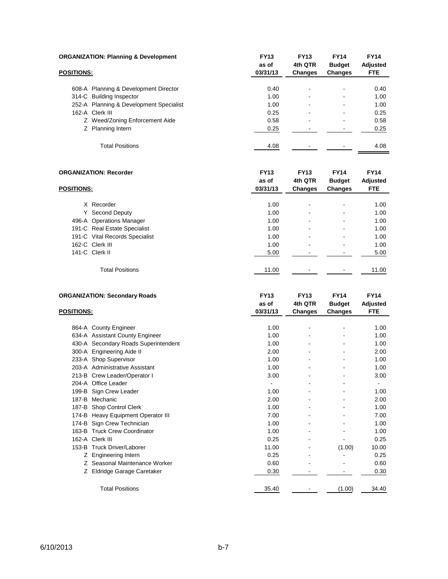| <b>ORGANIZATION: Planning &amp; Development</b> |                                         | <b>FY13</b>       | <b>FY13</b>              | <b>FY14</b>                     | <b>FY14</b>            |
|-------------------------------------------------|-----------------------------------------|-------------------|--------------------------|---------------------------------|------------------------|
| <b>POSITIONS:</b>                               |                                         | as of<br>03/31/13 | 4th QTR<br>Changes       | <b>Budget</b><br><b>Changes</b> | Adjusted<br><b>FTE</b> |
|                                                 | 608-A Planning & Development Director   | 0.40              | $\overline{\phantom{a}}$ | ٠                               | 0.40                   |
|                                                 | 314-C Building Inspector                | 1.00              | $\overline{\phantom{a}}$ | -                               | 1.00                   |
|                                                 | 252-A Planning & Development Specialist | 1.00              | $\overline{\phantom{a}}$ | -                               | 1.00                   |
|                                                 | 162-A Clerk III                         | 0.25              | ÷                        |                                 | 0.25                   |
|                                                 | Z Weed/Zoning Enforcement Aide          | 0.58              | ٠                        |                                 | 0.58                   |
|                                                 | Z Planning Intern                       | 0.25              |                          |                                 | 0.25                   |
|                                                 | <b>Total Positions</b>                  | 4.08              | -                        |                                 | 4.08                   |

| <b>ORGANIZATION: Recorder</b> | <b>FY13</b><br>as of           | <b>FY13</b><br>4th QTR | <b>FY14</b><br><b>Budget</b> | <b>FY14</b><br>Adjusted  |       |
|-------------------------------|--------------------------------|------------------------|------------------------------|--------------------------|-------|
| <b>POSITIONS:</b>             |                                | 03/31/13               | Changes                      | Changes                  | FTE.  |
|                               |                                |                        |                              |                          |       |
|                               | X Recorder                     | 1.00                   |                              | $\overline{\phantom{0}}$ | 1.00  |
| Y                             | Second Deputy                  | 1.00                   |                              | $\blacksquare$           | 1.00  |
|                               | 496-A Operations Manager       | 1.00                   |                              | $\blacksquare$           | 1.00  |
|                               | 191-C Real Estate Specialist   | 1.00                   |                              | $\overline{\phantom{0}}$ | 1.00  |
|                               | 191-C Vital Records Specialist | 1.00                   |                              | $\blacksquare$           | 1.00  |
|                               | 162-C Clerk III                | 1.00                   |                              | $\blacksquare$           | 1.00  |
|                               | 141-C Clerk II                 | 5.00                   |                              |                          | 5.00  |
|                               | <b>Total Positions</b>         | 11.00                  |                              |                          | 11.00 |

|                   | <b>ORGANIZATION: Secondary Roads</b> | <b>FY13</b> | <b>FY13</b>    | <b>FY14</b>   | <b>FY14</b>     |
|-------------------|--------------------------------------|-------------|----------------|---------------|-----------------|
|                   |                                      | as of       | 4th QTR        | <b>Budget</b> | <b>Adjusted</b> |
| <b>POSITIONS:</b> |                                      | 03/31/13    | <b>Changes</b> | Changes       | <b>FTE</b>      |
|                   |                                      |             |                |               |                 |
|                   | 864-A County Engineer                | 1.00        |                |               | 1.00            |
|                   | 634-A Assistant County Engineer      | 1.00        |                |               | 1.00            |
|                   | 430-A Secondary Roads Superintendent | 1.00        |                |               | 1.00            |
|                   | 300-A Engineering Aide II            | 2.00        |                |               | 2.00            |
|                   | 233-A Shop Supervisor                | 1.00        |                |               | 1.00            |
|                   | 203-A Administrative Assistant       | 1.00        |                |               | 1.00            |
|                   | 213-B Crew Leader/Operator I         | 3.00        |                |               | 3.00            |
|                   | 204-A Office Leader                  |             |                |               | ۰               |
| 199-B             | Sign Crew Leader                     | 1.00        |                |               | 1.00            |
| 187-B             | Mechanic                             | 2.00        |                |               | 2.00            |
| 187-B             | Shop Control Clerk                   | 1.00        |                |               | 1.00            |
| 174-B             | Heavy Equipment Operator III         | 7.00        |                |               | 7.00            |
| 174-B             | Sign Crew Technician                 | 1.00        |                |               | 1.00            |
| 163-B             | <b>Truck Crew Coordinator</b>        | 1.00        |                |               | 1.00            |
| 162-A             | Clerk III                            | 0.25        |                |               | 0.25            |
| 153-B             | <b>Truck Driver/Laborer</b>          | 11.00       |                | (1.00)        | 10.00           |
| Ζ                 | <b>Engineering Intern</b>            | 0.25        |                |               | 0.25            |
| Z                 | Seasonal Maintenance Worker          | 0.60        |                |               | 0.60            |
| Ζ                 | Eldridge Garage Caretaker            | 0.30        |                |               | 0.30            |
|                   |                                      |             |                |               |                 |
|                   | <b>Total Positions</b>               | 35.40       |                | (1.00)        | 34.40           |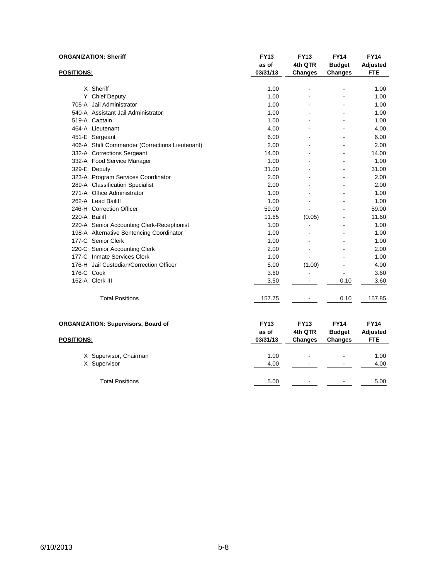| <b>ORGANIZATION: Sheriff</b> |                                                | <b>FY13</b> | <b>FY13</b>    | <b>FY14</b>              | <b>FY14</b>     |
|------------------------------|------------------------------------------------|-------------|----------------|--------------------------|-----------------|
|                              |                                                | as of       | 4th QTR        | <b>Budget</b>            | <b>Adjusted</b> |
| <b>POSITIONS:</b>            |                                                | 03/31/13    | <b>Changes</b> | <b>Changes</b>           | <b>FTE</b>      |
|                              | X Sheriff                                      | 1.00        |                |                          | 1.00            |
|                              | Y Chief Deputy                                 | 1.00        |                |                          | 1.00            |
|                              | 705-A Jail Administrator                       | 1.00        |                |                          | 1.00            |
|                              | 540-A Assistant Jail Administrator             | 1.00        |                |                          | 1.00            |
|                              | 519-A Captain                                  | 1.00        |                |                          | 1.00            |
|                              | 464-A Lieutenant                               | 4.00        |                |                          | 4.00            |
|                              | 451-E Sergeant                                 | 6.00        |                |                          | 6.00            |
|                              | 406-A Shift Commander (Corrections Lieutenant) | 2.00        |                |                          | 2.00            |
|                              | 332-A Corrections Sergeant                     | 14.00       |                |                          | 14.00           |
|                              | 332-A Food Service Manager                     | 1.00        |                | $\overline{\phantom{a}}$ | 1.00            |
|                              | 329-E Deputy                                   | 31.00       |                |                          | 31.00           |
|                              | 323-A Program Services Coordinator             | 2.00        |                | ÷.                       | 2.00            |
|                              | 289-A Classification Specialist                | 2.00        |                |                          | 2.00            |
|                              | 271-A Office Administrator                     | 1.00        |                |                          | 1.00            |
|                              | 262-A Lead Bailiff                             | 1.00        |                |                          | 1.00            |
|                              | 246-H Correction Officer                       | 59.00       |                |                          | 59.00           |
| 220-A Bailiff                |                                                | 11.65       | (0.05)         |                          | 11.60           |
|                              | 220-A Senior Accounting Clerk-Receptionist     | 1.00        | ÷,             |                          | 1.00            |
|                              | 198-A Alternative Sentencing Coordinator       | 1.00        |                |                          | 1.00            |
|                              | 177-C Senior Clerk                             | 1.00        |                |                          | 1.00            |
|                              | 220-C Senior Accounting Clerk                  | 2.00        |                |                          | 2.00            |
|                              | 177-C Inmate Services Clerk                    | 1.00        |                |                          | 1.00            |
|                              | 176-H Jail Custodian/Correction Officer        | 5.00        | (1.00)         |                          | 4.00            |
| 176-C Cook                   |                                                | 3.60        |                | L,                       | 3.60            |
|                              | 162-A Clerk III                                | 3.50        | $\blacksquare$ | 0.10                     | 3.60            |
|                              | <b>Total Positions</b>                         | 157.75      |                | 0.10                     | 157.85          |
|                              | <b>ORGANIZATION: Supervisors, Board of</b>     | <b>FY13</b> | <b>FY13</b>    | <b>FY14</b>              | <b>FY14</b>     |
|                              |                                                | as of       | 4th QTR        | <b>Budget</b>            | Adjusted        |
| <b>POSITIONS:</b>            |                                                | 03/31/13    | <b>Changes</b> | Changes                  | <b>FTE</b>      |
|                              | X Supervisor, Chairman                         | 1.00        |                |                          | 1.00            |
|                              | X Supervisor                                   | 4.00        |                |                          | 4.00            |
|                              |                                                |             |                |                          |                 |
|                              | <b>Total Positions</b>                         | 5.00        |                |                          | 5.00            |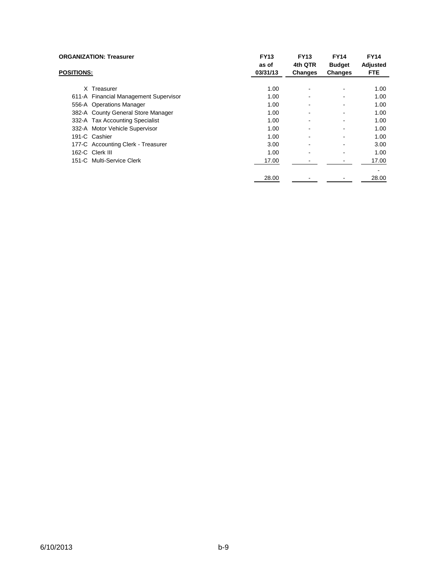| <b>ORGANIZATION: Treasurer</b><br><b>POSITIONS:</b> |                                       | <b>FY13</b><br>as of | <b>FY13</b><br>4th QTR   | <b>FY14</b><br><b>Budget</b> | <b>FY14</b><br>Adjusted |
|-----------------------------------------------------|---------------------------------------|----------------------|--------------------------|------------------------------|-------------------------|
|                                                     |                                       | 03/31/13             | <b>Changes</b>           | <b>Changes</b>               | <b>FTE</b>              |
|                                                     | X Treasurer                           | 1.00                 |                          |                              | 1.00                    |
|                                                     | 611-A Financial Management Supervisor | 1.00                 | $\overline{\phantom{0}}$ |                              | 1.00                    |
|                                                     | 556-A Operations Manager              | 1.00                 |                          |                              | 1.00                    |
|                                                     | 382-A County General Store Manager    | 1.00                 |                          |                              | 1.00                    |
|                                                     | 332-A Tax Accounting Specialist       | 1.00                 | $\overline{\phantom{a}}$ |                              | 1.00                    |
|                                                     | 332-A Motor Vehicle Supervisor        | 1.00                 |                          |                              | 1.00                    |
|                                                     | 191-C Cashier                         | 1.00                 | $\overline{\phantom{a}}$ |                              | 1.00                    |
|                                                     | 177-C Accounting Clerk - Treasurer    | 3.00                 |                          |                              | 3.00                    |
|                                                     | 162-C Clerk III                       | 1.00                 | $\blacksquare$           |                              | 1.00                    |
|                                                     | 151-C Multi-Service Clerk             | 17.00                |                          |                              | 17.00                   |
|                                                     |                                       |                      |                          |                              |                         |
|                                                     |                                       | 28.00                |                          |                              | 28.00                   |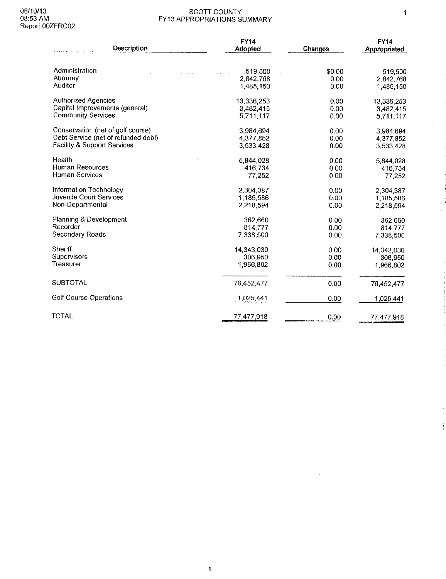$\hat{\mathcal{A}}$ 

### SCOTT COUNTY<br>FY13 APPROPRIATIONS SUMMARY

|                                        | <b>FY14</b> |         | <b>FY14</b>  |
|----------------------------------------|-------------|---------|--------------|
| Description                            | Adopted     | Changes | Appropriated |
| Administration                         | 519,500     | \$0.00  | 519,500      |
| Attorney                               | 2,842,768   | 0.00    | 2,842,768    |
| Auditor                                | 1,485,150   | 0.00    | 1,485,150    |
| <b>Authorized Agencies</b>             | 13,336,253  | 0.00    | 13,336,253   |
| Capital Improvements (general)         | 3,482,415   | 0.00    | 3,482,415    |
| <b>Community Services</b>              | 5,711,117   | 0.00    | 5,711,117    |
| Conservation (net of golf course)      | 3,984,694   | 0.00    | 3,984,694    |
| Debt Service (net of refunded debt)    | 4 377 852   | 0.00    | 4,377,852    |
| <b>Facility &amp; Support Services</b> | 3 533 428   | 0.00    | 3,533,428    |
| Health                                 | 5,844,028   | 0.00    | 5,844,028    |
| <b>Human Resources</b>                 | 416.734     | 0.00    | 416,734      |
| Human Services                         | 77,252      | 0.00    | 77.252       |
| Information Technology                 | 2.304.387   | 0.00    | 2,304,387    |
| Juvenile Court Services                | 1.185,586   | 0.00    | 1,185,586    |
| Non-Departmental                       | 2.218,594   | 0.00    | 2.218.594    |
| Planning & Development                 | 362,660     | 0.00    | 362,660      |
| Recorder                               | 814,777     | 0.00    | 814 777      |
| Secondary Roads                        | 7,338,500   | 0.00    | 7,338,500    |
| Sheriff                                | 14,343,030  | 0.00    | 14,343,030   |
| Supervisors                            | 306,950     | 0.00    | 306.950      |
| Treasurer                              | 1,966,802   | 0.00    | 1,966,802    |
| <b>SUBTOTAL</b>                        | 76,452,477  | 0.00    | 76,452,477   |
| <b>Golf Course Operations</b>          | 1,025,441   | 0.00    | 1,025 441    |
| <b>TOTAL</b>                           | 77,477,918  | 0.00    | 77,477,918   |

 $\hat{\boldsymbol{\gamma}}$ 

 $\sim$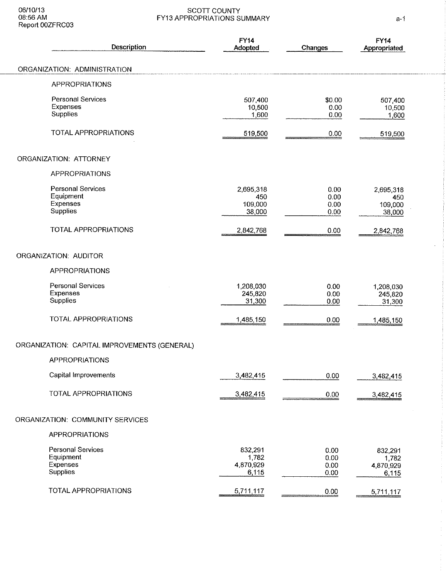| Description                                                          | <b>FY14</b><br>Adopted                 | Changes                      | <b>FY14</b><br>Appropriated            |
|----------------------------------------------------------------------|----------------------------------------|------------------------------|----------------------------------------|
| ORGANIZATION: ADMINISTRATION                                         |                                        |                              |                                        |
| <b>APPROPRIATIONS</b>                                                |                                        |                              |                                        |
| <b>Personal Services</b><br>Expenses<br>Supplies                     | 507,400<br>10,500<br>1,600             | \$0.00<br>0.00<br>0.00       | 507,400<br>10,500<br>1 600             |
| <b>TOTAL APPROPRIATIONS</b>                                          | 519,500                                | 0.00                         | 519,500                                |
| ORGANIZATION: ATTORNEY                                               |                                        |                              |                                        |
| <b>APPROPRIATIONS</b>                                                |                                        |                              |                                        |
| <b>Personal Services</b><br>Equipment<br>Expenses<br>Supplies        | 2,695,318<br>450<br>109,000<br>38,000  | 0.00<br>0.00<br>0.00<br>0.00 | 2.695,318<br>450<br>109,000<br>38,000  |
| <b>TOTAL APPROPRIATIONS</b>                                          | 2,842,768                              | 0.00                         | 2,842,768                              |
| ORGANIZATION: AUDITOR                                                |                                        |                              |                                        |
| <b>APPROPRIATIONS</b>                                                |                                        |                              |                                        |
| Personal Services<br>Expenses<br>Supplies                            | 1,208,030<br>245,820<br>31,300         | 0.00<br>0.00<br>0.00         | 1,208,030<br>245,820<br>31,300         |
| TOTAL APPROPRIATIONS                                                 | 1,485,150                              | 0.00                         | 1,485,150                              |
| ORGANIZATION: CAPITAL IMPROVEMENTS (GENERAL)                         |                                        |                              |                                        |
| <b>APPROPRIATIONS</b>                                                |                                        |                              |                                        |
| Capital Improvements                                                 | 3,482,415                              | 0.00                         | 3,482,415                              |
| TOTAL APPROPRIATIONS                                                 | 3,482,415                              | 0.00                         | 3,482,415                              |
| ORGANIZATION: COMMUNITY SERVICES                                     |                                        |                              |                                        |
| <b>APPROPRIATIONS</b>                                                |                                        |                              |                                        |
| <b>Personal Services</b><br>Equipment<br>Expenses<br><b>Supplies</b> | 832,291<br>1,782<br>4,870,929<br>6,115 | 0.00<br>0.00<br>0.00<br>0.00 | 832,291<br>1,782<br>4,870,929<br>6,115 |
| TOTAL APPROPRIATIONS                                                 | 5,711,117                              | 0.00                         | 5,711,117                              |

l,

 $\frac{1}{\sqrt{2}}$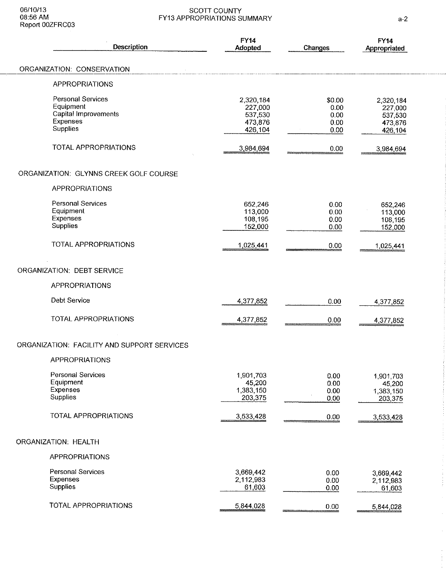|                      | Description                                                                                  | <b>FY14</b><br>Adopted                                | Changes                                | <b>FY14</b><br>Appropriated                           |
|----------------------|----------------------------------------------------------------------------------------------|-------------------------------------------------------|----------------------------------------|-------------------------------------------------------|
|                      | ORGANIZATION: CONSERVATION                                                                   |                                                       |                                        |                                                       |
|                      | <b>APPROPRIATIONS</b>                                                                        |                                                       |                                        |                                                       |
|                      | <b>Personal Services</b><br>Equipment<br>Capital Improvements<br><b>Expenses</b><br>Supplies | 2,320,184<br>227,000<br>537,530<br>473,876<br>426.104 | \$0.00<br>0.00<br>0.00<br>0.00<br>0.00 | 2,320,184<br>227,000<br>537,530<br>473,876<br>426,104 |
|                      | <b>TOTAL APPROPRIATIONS</b>                                                                  | 3,984,694                                             | 0.00                                   | 3,984,694                                             |
|                      | ORGANIZATION: GLYNNS CREEK GOLF COURSE                                                       |                                                       |                                        |                                                       |
|                      | <b>APPROPRIATIONS</b>                                                                        |                                                       |                                        |                                                       |
| <b>Supplies</b>      | Personal Services<br>Equipment<br>Expenses                                                   | 652,246<br>113,000<br>108,195<br>152,000              | 0.00<br>0.00<br>0.00<br>0.00           | 652 246<br>113,000<br>108 195<br>152,000              |
|                      | TOTAL APPROPRIATIONS                                                                         | 1,025,441                                             | 0.00                                   | 1,025,441                                             |
|                      | ORGANIZATION: DEBT SERVICE                                                                   |                                                       |                                        |                                                       |
|                      | APPROPRIATIONS                                                                               |                                                       |                                        |                                                       |
|                      | Debt Service                                                                                 | 4,377,852                                             | 0.00                                   | 4,377,852                                             |
|                      | TOTAL APPROPRIATIONS                                                                         | 4,377,852                                             | 0.00                                   | 4 377,852                                             |
|                      | ORGANIZATION: FACILITY AND SUPPORT SERVICES                                                  |                                                       |                                        |                                                       |
|                      | <b>APPROPRIATIONS</b>                                                                        |                                                       |                                        |                                                       |
| Supplies             | <b>Personal Services</b><br>Equipment<br><b>Expenses</b>                                     | 1,901,703<br>45,200<br>1,383,150<br>203,375           | 0.00<br>0.00<br>0.00<br>0.00           | 1,901,703<br>45,200<br>1,383,150<br>203,375           |
|                      | TOTAL APPROPRIATIONS                                                                         | 3,533,428                                             | 0.00                                   | 3,533,428                                             |
| ORGANIZATION: HEALTH |                                                                                              |                                                       |                                        |                                                       |
|                      | <b>APPROPRIATIONS</b>                                                                        |                                                       |                                        |                                                       |
| Expenses<br>Supplies | <b>Personal Services</b>                                                                     | 3,669,442<br>2,112,983<br>61,603                      | 0.00<br>0.00<br>0.00                   | 3,669,442<br>2,112,983<br>61,603                      |
|                      | TOTAL APPROPRIATIONS                                                                         | 5,844,028                                             | 0.00                                   | 5,844,028                                             |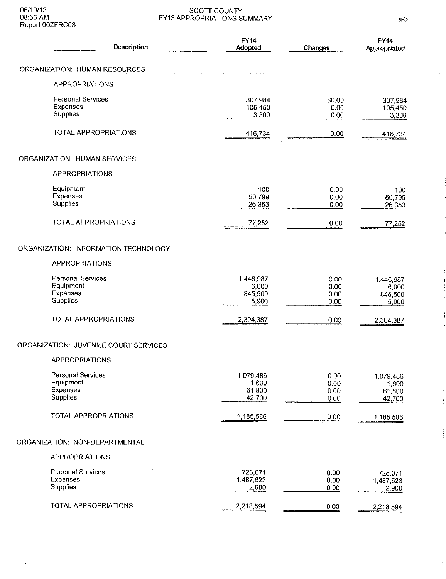$\bar{\beta}$ 

### SCOTT COUNTY<br>FY13 APPROPRIATIONS SUMMARY

| Description                                                          | <b>FY14</b><br>Adopted                 | Changes                      | <b>FY14</b><br>Appropriated            |
|----------------------------------------------------------------------|----------------------------------------|------------------------------|----------------------------------------|
| ORGANIZATION: HUMAN RESOURCES                                        |                                        |                              |                                        |
| <b>APPROPRIATIONS</b>                                                |                                        |                              |                                        |
| <b>Personal Services</b><br>Expenses<br>Supplies                     | 307,984<br>105,450<br>3,300            | \$0.00<br>0.00<br>0.00       | 307,984<br>105,450<br>3,300            |
| <b>TOTAL APPROPRIATIONS</b>                                          | 416,734                                | 0.00                         | 416,734                                |
| <b>ORGANIZATION: HUMAN SERVICES</b>                                  |                                        |                              |                                        |
| <b>APPROPRIATIONS</b>                                                |                                        |                              |                                        |
| Equipment<br>Expenses<br>Supplies                                    | 100<br>50,799<br>26,353                | 0.00<br>0.00<br>0.00         | 100<br>50,799<br>26,353                |
| <b>TOTAL APPROPRIATIONS</b>                                          | 77,252                                 | 0.00                         | 77,252                                 |
| ORGANIZATION: INFORMATION TECHNOLOGY                                 |                                        |                              |                                        |
| <b>APPROPRIATIONS</b>                                                |                                        |                              |                                        |
| <b>Personal Services</b><br>Equipment<br>Expenses<br>Supplies        | 1,446,987<br>6,000<br>845,500<br>5,900 | 0.00<br>0.00<br>0.00<br>0.00 | 1,446,987<br>6,000<br>845,500<br>5,900 |
| <b>TOTAL APPROPRIATIONS</b>                                          | 2,304,387                              | 0.00                         | 2,304,387                              |
| ORGANIZATION: JUVENILE COURT SERVICES                                |                                        |                              |                                        |
| <b>APPROPRIATIONS</b>                                                |                                        |                              |                                        |
| <b>Personal Services</b><br>Equipment<br>Expenses<br><b>Supplies</b> | 1,079,486<br>1,600<br>61,800<br>42,700 | 0.00<br>0.00<br>0.00<br>0.00 | 1,079,486<br>1,600<br>61,800<br>42,700 |
| TOTAL APPROPRIATIONS                                                 | 1,185,586                              | 0.00                         | 1,185,586                              |
| ORGANIZATION: NON-DEPARTMENTAL                                       |                                        |                              |                                        |
| <b>APPROPRIATIONS</b>                                                |                                        |                              |                                        |
| <b>Personal Services</b><br>Expenses<br>Supplies                     | 728,071<br>1,487,623<br>2,900          | 0.00<br>0.00<br>0.00         | 728,071<br>1,487,623<br>2,900          |
| TOTAL APPROPRIATIONS                                                 | 2,218,594                              | 0.00                         | 2,218,594                              |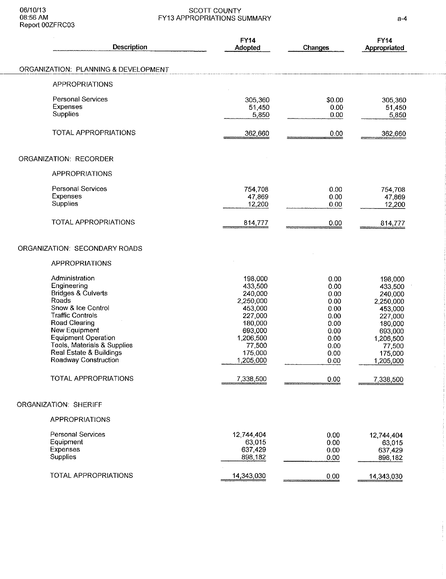| Description                                                                                                                                                                                                                                                                                                      | <b>FY14</b><br>Adopted                                                                                                                             | <b>Changes</b>                                                                                       | <b>FY14</b><br>Appropriated                                                                                                                        |
|------------------------------------------------------------------------------------------------------------------------------------------------------------------------------------------------------------------------------------------------------------------------------------------------------------------|----------------------------------------------------------------------------------------------------------------------------------------------------|------------------------------------------------------------------------------------------------------|----------------------------------------------------------------------------------------------------------------------------------------------------|
| ORGANIZATION: PLANNING & DEVELOPMENT                                                                                                                                                                                                                                                                             |                                                                                                                                                    |                                                                                                      |                                                                                                                                                    |
| <b>APPROPRIATIONS</b>                                                                                                                                                                                                                                                                                            |                                                                                                                                                    |                                                                                                      |                                                                                                                                                    |
| <b>Personal Services</b><br>Expenses<br><b>Supplies</b>                                                                                                                                                                                                                                                          | 305 360<br>51,450<br>5,850                                                                                                                         | \$0.00<br>0.00<br>0.00                                                                               | 305,360<br>51,450<br>5,850                                                                                                                         |
| TOTAL APPROPRIATIONS                                                                                                                                                                                                                                                                                             | 362,660                                                                                                                                            | 0.00                                                                                                 | 362,660                                                                                                                                            |
| <b>ORGANIZATION: RECORDER</b>                                                                                                                                                                                                                                                                                    |                                                                                                                                                    |                                                                                                      |                                                                                                                                                    |
| <b>APPROPRIATIONS</b>                                                                                                                                                                                                                                                                                            |                                                                                                                                                    |                                                                                                      |                                                                                                                                                    |
| <b>Personal Services</b><br><b>Expenses</b><br>Supplies                                                                                                                                                                                                                                                          | 754,708<br>47,869<br>12,200                                                                                                                        | 0.00<br>0.00<br>0.00                                                                                 | 754,708<br>47,869<br>12,200                                                                                                                        |
| <b>TOTAL APPROPRIATIONS</b>                                                                                                                                                                                                                                                                                      | 814,777                                                                                                                                            | 0.00                                                                                                 | 814,777                                                                                                                                            |
| ORGANIZATION: SECONDARY ROADS<br><b>APPROPRIATIONS</b>                                                                                                                                                                                                                                                           |                                                                                                                                                    |                                                                                                      |                                                                                                                                                    |
| Administration<br>Engineering<br><b>Bridges &amp; Culverts</b><br>Roads<br>Snow & Ice Control<br><b>Traffic Controls</b><br><b>Road Clearing</b><br>New Equipment<br><b>Equipment Operation</b><br>Tools, Materials & Supplies<br>Real Estate & Buildings<br>Roadway Construction<br><b>TOTAL APPROPRIATIONS</b> | 198,000<br>433,500<br>240,000<br>2,250,000<br>453,000<br>227,000<br>180,000<br>693,000<br>1,206,500<br>77,500<br>175,000<br>1,205,000<br>7,338,500 | 0.00<br>0.00<br>0.00<br>0.00<br>0.00<br>0.00<br>0.00<br>0.00<br>0.00<br>0.00<br>0.00<br>0.00<br>0.00 | 198,000<br>433,500<br>240,000<br>2,250,000<br>453,000<br>227,000<br>180,000<br>693,000<br>1,206,500<br>77,500<br>175,000<br>1,205,000<br>7,338,500 |
| ORGANIZATION: SHERIFF                                                                                                                                                                                                                                                                                            |                                                                                                                                                    |                                                                                                      |                                                                                                                                                    |
| <b>APPROPRIATIONS</b>                                                                                                                                                                                                                                                                                            |                                                                                                                                                    |                                                                                                      |                                                                                                                                                    |
| <b>Personal Services</b><br>Equipment<br>Expenses<br>Supplies                                                                                                                                                                                                                                                    | 12,744,404<br>63,015<br>637,429<br>898,182                                                                                                         | 0.00<br>0.00<br>0.00<br>0.00                                                                         | 12,744,404<br>63,015<br>637,429<br>898,182                                                                                                         |
| TOTAL APPROPRIATIONS                                                                                                                                                                                                                                                                                             | 14,343,030                                                                                                                                         | 0.00                                                                                                 | 14,343,030                                                                                                                                         |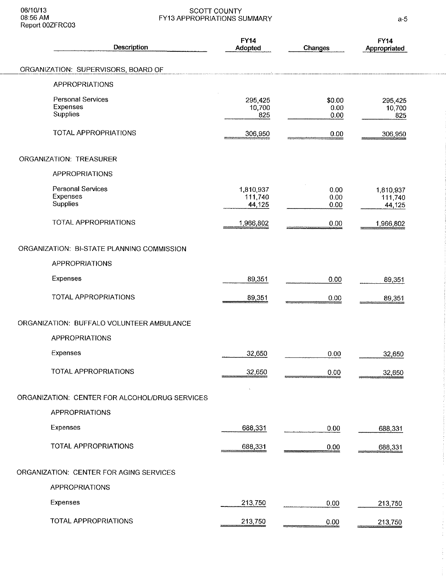| Description                                      | <b>FY14</b><br>Adopted         | Changes                | <b>FY14</b><br>Appropriated    |
|--------------------------------------------------|--------------------------------|------------------------|--------------------------------|
| ORGANIZATION: SUPERVISORS, BOARD OF              |                                |                        |                                |
| <b>APPROPRIATIONS</b>                            |                                |                        |                                |
| <b>Personal Services</b><br>Expenses<br>Supplies | 295,425<br>10,700<br>825       | \$0.00<br>0.00<br>0.00 | 295,425<br>10,700<br>825       |
| <b>TOTAL APPROPRIATIONS</b>                      | 306,950                        | 0.00                   | 306,950                        |
| ORGANIZATION: TREASURER                          |                                |                        |                                |
| <b>APPROPRIATIONS</b>                            |                                |                        |                                |
| <b>Personal Services</b><br>Expenses<br>Supplies | 1.810.937<br>111,740<br>44,125 | 0.00<br>0.00<br>0.00   | 1,810,937<br>111 740<br>44 125 |
| TOTAL APPROPRIATIONS                             | 1,966,802                      | 0.00                   | 1,966,802                      |
| ORGANIZATION: BI-STATE PLANNING COMMISSION       |                                |                        |                                |
| <b>APPROPRIATIONS</b>                            |                                |                        |                                |
| Expenses                                         | 89,351                         | 0.00                   | 89,351                         |
| TOTAL APPROPRIATIONS                             | 89,351                         | 0.00                   | 89,351                         |
| ORGANIZATION: BUFFALO VOLUNTEER AMBULANCE        |                                |                        |                                |
| <b>APPROPRIATIONS</b>                            |                                |                        |                                |
| Expenses                                         | 32,650                         | 0.00                   | 32,650                         |
| <b>TOTAL APPROPRIATIONS</b>                      | 32,650                         | 0.00                   | 32,650                         |
| ORGANIZATION: CENTER FOR ALCOHOL/DRUG SERVICES   |                                |                        |                                |
| <b>APPROPRIATIONS</b>                            |                                |                        |                                |
| Expenses                                         | 688,331                        | 000                    | 688,331                        |
| TOTAL APPROPRIATIONS                             | 688,331                        | 0.00                   | 688,331                        |
| ORGANIZATION: CENTER FOR AGING SERVICES          |                                |                        |                                |
| <b>APPROPRIATIONS</b>                            |                                |                        |                                |
| Expenses                                         | 213,750                        | 0.00                   | 213,750                        |
| TOTAL APPROPRIATIONS                             | 213,750                        | 0.00                   | 213,750                        |

 $\frac{1}{2}$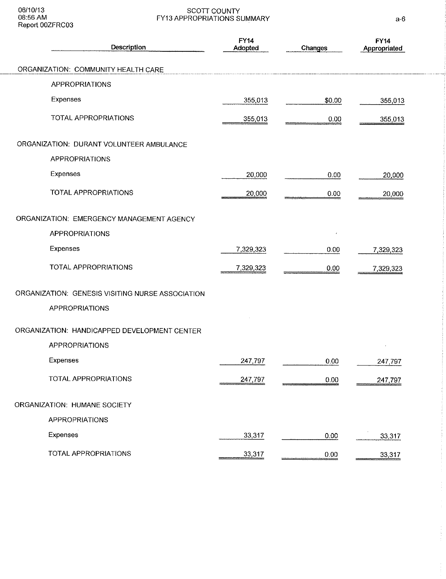06/10/13<br>08:56 AM<br>Report 00ZFRC03

### SCOTT COUNTY<br>FY13 APPROPRIATIONS SUMMARY

| Description                                      | <b>FY14</b><br>Adopted | Changes | <b>FY14</b><br>Appropriated |
|--------------------------------------------------|------------------------|---------|-----------------------------|
| ORGANIZATION: COMMUNITY HEALTH CARE              |                        |         |                             |
| <b>APPROPRIATIONS</b>                            |                        |         |                             |
| Expenses                                         | 355,013                | \$0.00  | 355,013                     |
| TOTAL APPROPRIATIONS                             | 355,013                | 0.00    | 355,013                     |
| ORGANIZATION: DURANT VOLUNTEER AMBULANCE         |                        |         |                             |
| <b>APPROPRIATIONS</b>                            |                        |         |                             |
| Expenses                                         | 20,000                 | 0.00    | 20,000                      |
| TOTAL APPROPRIATIONS                             | 20,000                 | 0.00    | 20,000                      |
| ORGANIZATION: EMERGENCY MANAGEMENT AGENCY        |                        |         |                             |
| <b>APPROPRIATIONS</b>                            |                        |         |                             |
| Expenses                                         | 7,329,323              | 0.00    | 7,329,323                   |
| <b>TOTAL APPROPRIATIONS</b>                      | 7,329,323              | 0.00    | 7,329,323                   |
| ORGANIZATION: GENESIS VISITING NURSE ASSOCIATION |                        |         |                             |
| <b>APPROPRIATIONS</b>                            |                        |         |                             |
| ORGANIZATION: HANDICAPPED DEVELOPMENT CENTER     |                        |         |                             |
| <b>APPROPRIATIONS</b>                            |                        |         |                             |
| Expenses                                         | 247,797                | 0,00    | 247,797                     |
| TOTAL APPROPRIATIONS                             | 247,797                | 0.00    | 247,797                     |
| ORGANIZATION: HUMANE SOCIETY                     |                        |         |                             |
| <b>APPROPRIATIONS</b>                            |                        |         |                             |
| Expenses                                         | 33,317                 | 0.00    | 33,317                      |
| <b>TOTAL APPROPRIATIONS</b>                      | 33,317                 | 0.00    | 33,317                      |

 $a-6$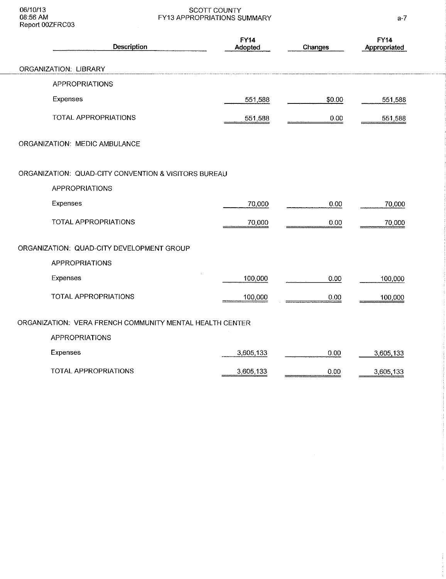06/10/13<br>08:56 AM<br>Report 00ZFRC03

## SCOTT COUNTY<br>FY13 APPROPRIATIONS SUMMARY

| Description                                              | <b>FY14</b><br>Adopted | Changes | <b>FY14</b><br>Appropriated |
|----------------------------------------------------------|------------------------|---------|-----------------------------|
| ORGANIZATION: LIBRARY                                    |                        |         |                             |
| <b>APPROPRIATIONS</b>                                    |                        |         |                             |
| Expenses                                                 | 551,588                | \$0.00  | 551,588                     |
| TOTAL APPROPRIATIONS                                     | 551,588                | 0.00    | 551,588                     |
| ORGANIZATION: MEDIC AMBULANCE                            |                        |         |                             |
| ORGANIZATION: QUAD-CITY CONVENTION & VISITORS BUREAU     |                        |         |                             |
| <b>APPROPRIATIONS</b>                                    |                        |         |                             |
| Expenses                                                 | 70,000                 | 0.00    | 70,000                      |
| <b>TOTAL APPROPRIATIONS</b>                              | 70,000                 | 0.00    | 70,000                      |
| ORGANIZATION: QUAD-CITY DEVELOPMENT GROUP                |                        |         |                             |
| <b>APPROPRIATIONS</b>                                    |                        |         |                             |
| Expenses                                                 | 100,000                | 0.00    | 100.000                     |
| TOTAL APPROPRIATIONS                                     | 100,000                | 0.00    | 100,000                     |
| ORGANIZATION: VERA FRENCH COMMUNITY MENTAL HEALTH CENTER |                        |         |                             |
| <b>APPROPRIATIONS</b>                                    |                        |         |                             |
| Expenses                                                 | 3,605,133              | 0.00    | 3,605,133                   |
| TOTAL APPROPRIATIONS                                     | 3,605,133              | 0.00    | 3,605,133                   |